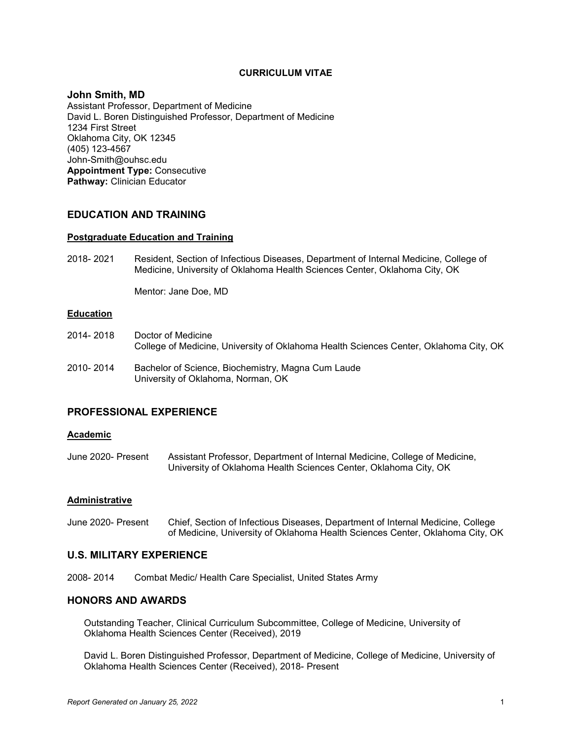## **CURRICULUM VITAE**

### **John Smith, MD**

Assistant Professor, Department of Medicine David L. Boren Distinguished Professor, Department of Medicine 1234 First Street Oklahoma City, OK 12345 (405) 123-4567 John-Smith@ouhsc.edu **Appointment Type:** Consecutive **Pathway:** Clinician Educator

## **EDUCATION AND TRAINING**

### **Postgraduate Education and Training**

2018- 2021 Resident, Section of Infectious Diseases, Department of Internal Medicine, College of Medicine, University of Oklahoma Health Sciences Center, Oklahoma City, OK

Mentor: Jane Doe, MD

## **Education**

- 2014- 2018 Doctor of Medicine College of Medicine, University of Oklahoma Health Sciences Center, Oklahoma City, OK
- 2010- 2014 Bachelor of Science, Biochemistry, Magna Cum Laude University of Oklahoma, Norman, OK

# **PROFESSIONAL EXPERIENCE**

#### **Academic**

June 2020- Present Assistant Professor, Department of Internal Medicine, College of Medicine, University of Oklahoma Health Sciences Center, Oklahoma City, OK

### **Administrative**

June 2020- Present Chief, Section of Infectious Diseases, Department of Internal Medicine, College of Medicine, University of Oklahoma Health Sciences Center, Oklahoma City, OK

# **U.S. MILITARY EXPERIENCE**

2008- 2014 Combat Medic/ Health Care Specialist, United States Army

## **HONORS AND AWARDS**

Outstanding Teacher, Clinical Curriculum Subcommittee, College of Medicine, University of Oklahoma Health Sciences Center (Received), 2019

David L. Boren Distinguished Professor, Department of Medicine, College of Medicine, University of Oklahoma Health Sciences Center (Received), 2018- Present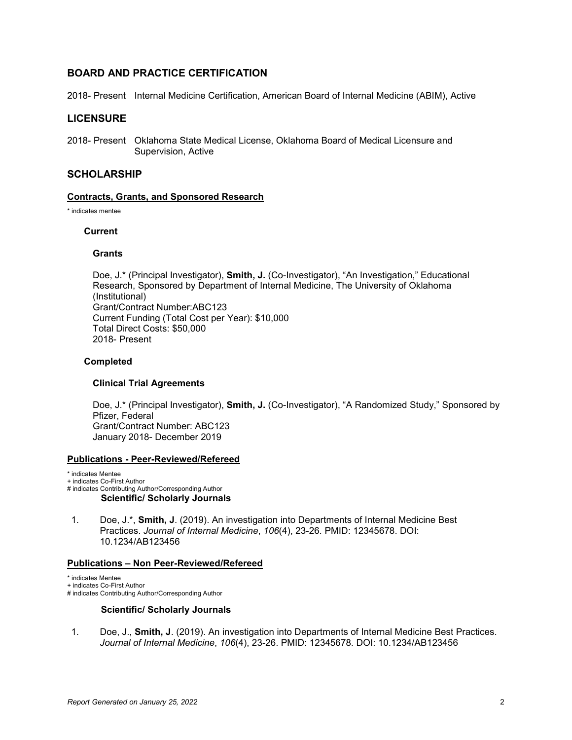# **BOARD AND PRACTICE CERTIFICATION**

2018- Present Internal Medicine Certification, American Board of Internal Medicine (ABIM), Active

# **LICENSURE**

2018- Present Oklahoma State Medical License, Oklahoma Board of Medical Licensure and Supervision, Active

## **SCHOLARSHIP**

### **Contracts, Grants, and Sponsored Research**

\* indicates mentee

### **Current**

### **Grants**

Doe, J.\* (Principal Investigator), **Smith, J.** (Co-Investigator), "An Investigation," Educational Research, Sponsored by Department of Internal Medicine, The University of Oklahoma (Institutional) Grant/Contract Number:ABC123 Current Funding (Total Cost per Year): \$10,000 Total Direct Costs: \$50,000 2018- Present

### **Completed**

### **Clinical Trial Agreements**

Doe, J.\* (Principal Investigator), **Smith, J.** (Co-Investigator), "A Randomized Study," Sponsored by Pfizer, Federal Grant/Contract Number: ABC123 January 2018- December 2019

#### **Publications - Peer-Reviewed/Refereed**

\* indicates Mentee

+ indicates Co-First Author

- # indicates Contributing Author/Corresponding Author **Scientific/ Scholarly Journals**
- 1. Doe, J.\*, **Smith, J**. (2019). An investigation into Departments of Internal Medicine Best Practices. *Journal of Internal Medicine*, *106*(4), 23-26. PMID: 12345678. DOI: 10.1234/AB123456

#### **Publications – Non Peer-Reviewed/Refereed**

\* indicates Mentee

+ indicates Co-First Author

# indicates Contributing Author/Corresponding Author

### **Scientific/ Scholarly Journals**

1. Doe, J., **Smith, J**. (2019). An investigation into Departments of Internal Medicine Best Practices. *Journal of Internal Medicine*, *106*(4), 23-26. PMID: 12345678. DOI: 10.1234/AB123456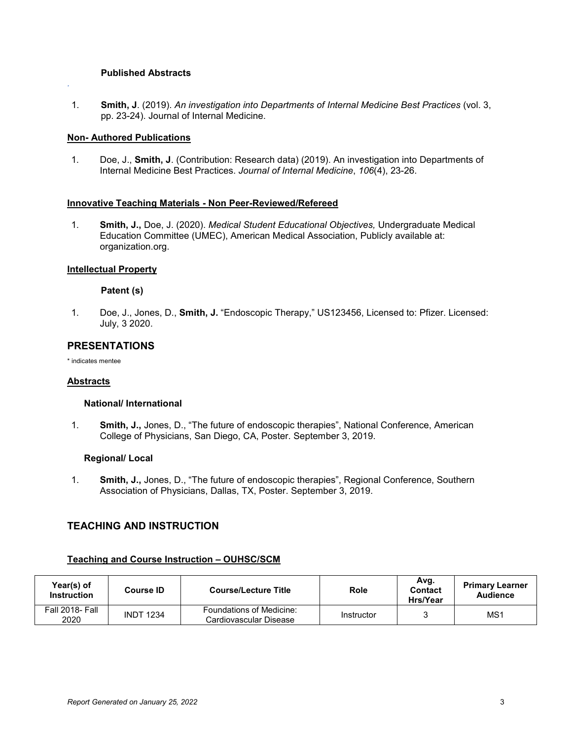## **Published Abstracts**

1. **Smith, J**. (2019). *An investigation into Departments of Internal Medicine Best Practices* (vol. 3, pp. 23-24). Journal of Internal Medicine.

## **Non- Authored Publications**

*.*

1. Doe, J., **Smith, J**. (Contribution: Research data) (2019). An investigation into Departments of Internal Medicine Best Practices. *Journal of Internal Medicine*, *106*(4), 23-26.

## **Innovative Teaching Materials - Non Peer-Reviewed/Refereed**

1. **Smith, J.,** Doe, J. (2020). *Medical Student Educational Objectives,* Undergraduate Medical Education Committee (UMEC), American Medical Association, Publicly available at: organization.org.

## **Intellectual Property**

## **Patent (s)**

1. Doe, J., Jones, D., **Smith, J.** "Endoscopic Therapy," US123456, Licensed to: Pfizer. Licensed: July, 3 2020.

# **PRESENTATIONS**

\* indicates mentee

### **Abstracts**

### **National/ International**

1. **Smith, J.,** Jones, D., "The future of endoscopic therapies", National Conference, American College of Physicians, San Diego, CA, Poster. September 3, 2019.

## **Regional/ Local**

1. **Smith, J.,** Jones, D., "The future of endoscopic therapies", Regional Conference, Southern Association of Physicians, Dallas, TX, Poster. September 3, 2019.

# **TEACHING AND INSTRUCTION**

# **Teaching and Course Instruction – OUHSC/SCM**

| Year(s) of<br><b>Instruction</b> | <b>Course ID</b> | <b>Course/Lecture Title</b>                        | Role       | Avg.<br><b>Contact</b><br>Hrs/Year | <b>Primary Learner</b><br><b>Audience</b> |
|----------------------------------|------------------|----------------------------------------------------|------------|------------------------------------|-------------------------------------------|
| <b>Fall 2018- Fall</b><br>2020   | <b>INDT 1234</b> | Foundations of Medicine:<br>Cardiovascular Disease | Instructor |                                    | MS1                                       |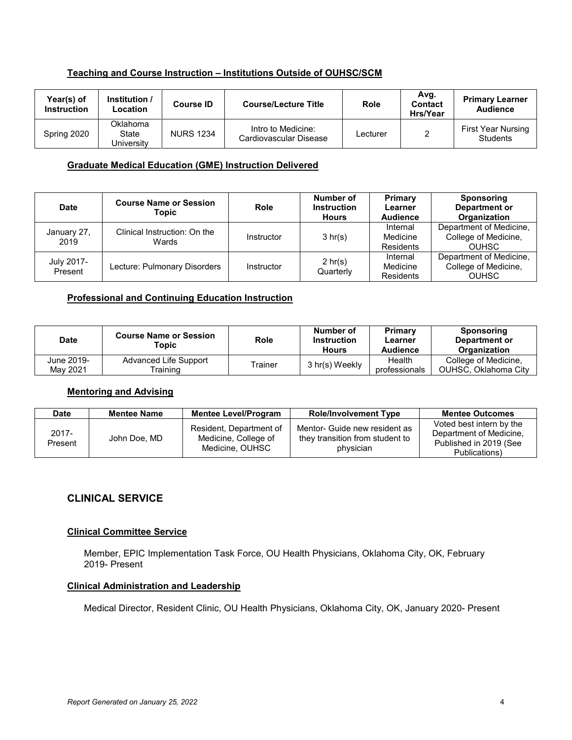# **Teaching and Course Instruction – Institutions Outside of OUHSC/SCM**

| Year(s) of<br><b>Instruction</b> | Institution /<br>Location       | Course ID        | <b>Course/Lecture Title</b>                  | <b>Role</b> | Avg.<br>Contact<br>Hrs/Year | <b>Primary Learner</b><br><b>Audience</b> |
|----------------------------------|---------------------------------|------------------|----------------------------------------------|-------------|-----------------------------|-------------------------------------------|
| Spring 2020                      | Oklahoma<br>State<br>Universitv | <b>NURS 1234</b> | Intro to Medicine:<br>Cardiovascular Disease | Lecturer    |                             | First Year Nursing<br><b>Students</b>     |

## **Graduate Medical Education (GME) Instruction Delivered**

| <b>Date</b>           | <b>Course Name or Session</b><br>Topic | Role       | Number of<br><b>Instruction</b><br><b>Hours</b> | Primary<br>Learner<br><b>Audience</b> | Sponsoring<br>Department or<br>Organization                     |
|-----------------------|----------------------------------------|------------|-------------------------------------------------|---------------------------------------|-----------------------------------------------------------------|
| January 27,<br>2019   | Clinical Instruction: On the<br>Wards  | Instructor | 3 hr(s)                                         | Internal<br>Medicine<br>Residents     | Department of Medicine,<br>College of Medicine,<br><b>OUHSC</b> |
| July 2017-<br>Present | Lecture: Pulmonary Disorders           | Instructor | $2 \text{ hr}(s)$<br>Quarterly                  | Internal<br>Medicine<br>Residents     | Department of Medicine,<br>College of Medicine,<br><b>OUHSC</b> |

# **Professional and Continuing Education Instruction**

| <b>Date</b>            | <b>Course Name or Session</b><br>Topic | <b>Role</b> | Number of<br><b>Instruction</b><br><b>Hours</b> | Primary<br>Learner<br><b>Audience</b> | <b>Sponsoring</b><br>Department or<br><b>Organization</b> |
|------------------------|----------------------------------------|-------------|-------------------------------------------------|---------------------------------------|-----------------------------------------------------------|
| June 2019-<br>May 2021 | Advanced Life Support<br>raining.      | Trainer     | 3 hr(s) Weekly                                  | Health<br>professionals               | College of Medicine,<br><b>OUHSC. Oklahoma City</b>       |

## **Mentoring and Advising**

| <b>Date</b>         | <b>Mentee Name</b> | <b>Mentee Level/Program</b>                                        | <b>Role/Involvement Type</b>                                                  | <b>Mentee Outcomes</b>                                                                         |
|---------------------|--------------------|--------------------------------------------------------------------|-------------------------------------------------------------------------------|------------------------------------------------------------------------------------------------|
| $2017 -$<br>Present | John Doe, MD       | Resident, Department of<br>Medicine, College of<br>Medicine, OUHSC | Mentor- Guide new resident as<br>they transition from student to<br>physician | Voted best intern by the<br>Department of Medicine,<br>Published in 2019 (See<br>Publications) |

# **CLINICAL SERVICE**

## **Clinical Committee Service**

Member, EPIC Implementation Task Force, OU Health Physicians, Oklahoma City, OK, February 2019- Present

# **Clinical Administration and Leadership**

Medical Director, Resident Clinic, OU Health Physicians, Oklahoma City, OK, January 2020- Present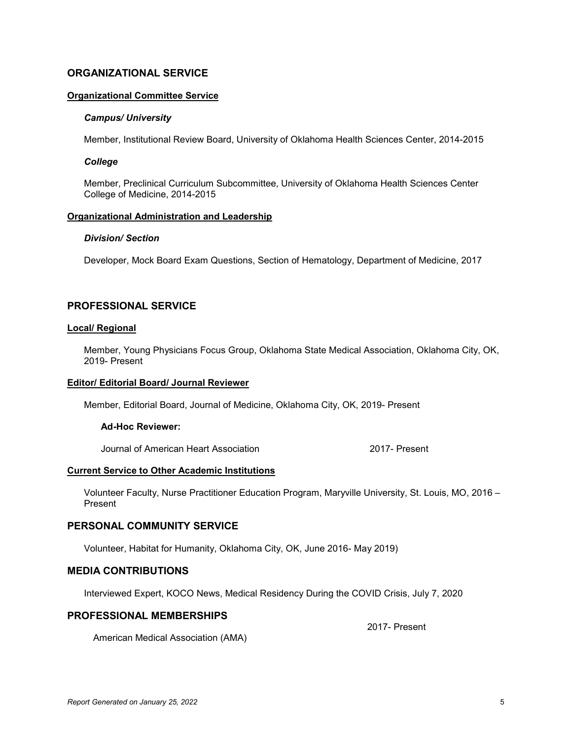# **ORGANIZATIONAL SERVICE**

### **Organizational Committee Service**

### *Campus/ University*

Member, Institutional Review Board, University of Oklahoma Health Sciences Center, 2014-2015

### *College*

Member, Preclinical Curriculum Subcommittee, University of Oklahoma Health Sciences Center College of Medicine, 2014-2015

# **Organizational Administration and Leadership**

## *Division/ Section*

Developer, Mock Board Exam Questions, Section of Hematology, Department of Medicine, 2017

# **PROFESSIONAL SERVICE**

### **Local/ Regional**

Member, Young Physicians Focus Group, Oklahoma State Medical Association, Oklahoma City, OK, 2019- Present

### **Editor/ Editorial Board/ Journal Reviewer**

Member, Editorial Board, Journal of Medicine, Oklahoma City, OK, 2019- Present

### **Ad-Hoc Reviewer:**

Journal of American Heart Association 2017- Present

#### **Current Service to Other Academic Institutions**

Volunteer Faculty, Nurse Practitioner Education Program, Maryville University, St. Louis, MO, 2016 – Present

### **PERSONAL COMMUNITY SERVICE**

Volunteer, Habitat for Humanity, Oklahoma City, OK, June 2016- May 2019)

# **MEDIA CONTRIBUTIONS**

Interviewed Expert, KOCO News, Medical Residency During the COVID Crisis, July 7, 2020

### **PROFESSIONAL MEMBERSHIPS**

2017- Present

American Medical Association (AMA)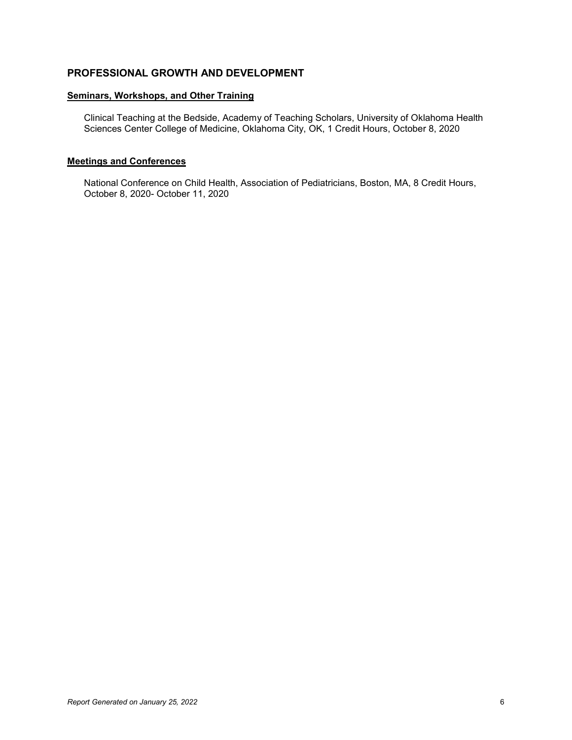# **PROFESSIONAL GROWTH AND DEVELOPMENT**

## **Seminars, Workshops, and Other Training**

Clinical Teaching at the Bedside, Academy of Teaching Scholars, University of Oklahoma Health Sciences Center College of Medicine, Oklahoma City, OK, 1 Credit Hours, October 8, 2020

### **Meetings and Conferences**

National Conference on Child Health, Association of Pediatricians, Boston, MA, 8 Credit Hours, October 8, 2020- October 11, 2020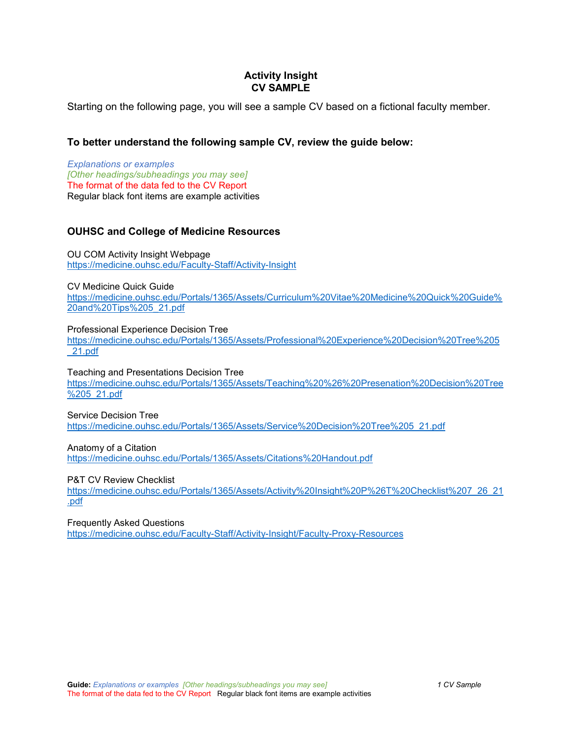# **Activity Insight CV SAMPLE**

Starting on the following page, you will see a sample CV based on a fictional faculty member.

# **To better understand the following sample CV, review the guide below:**

*Explanations or examples [Other headings/subheadings you may see]* The format of the data fed to the CV Report Regular black font items are example activities

# **OUHSC and College of Medicine Resources**

OU COM Activity Insight Webpage <https://medicine.ouhsc.edu/Faculty-Staff/Activity-Insight>

CV Medicine Quick Guide

[https://medicine.ouhsc.edu/Portals/1365/Assets/Curriculum%20Vitae%20Medicine%20Quick%20Guide%](https://medicine.ouhsc.edu/Portals/1365/Assets/Curriculum%20Vitae%20Medicine%20Quick%20Guide%20and%20Tips%205_21.pdf) [20and%20Tips%205\\_21.pdf](https://medicine.ouhsc.edu/Portals/1365/Assets/Curriculum%20Vitae%20Medicine%20Quick%20Guide%20and%20Tips%205_21.pdf) 

### Professional Experience Decision Tree

[https://medicine.ouhsc.edu/Portals/1365/Assets/Professional%20Experience%20Decision%20Tree%205](https://medicine.ouhsc.edu/Portals/1365/Assets/Professional%20Experience%20Decision%20Tree%205_21.pdf) [\\_21.pdf](https://medicine.ouhsc.edu/Portals/1365/Assets/Professional%20Experience%20Decision%20Tree%205_21.pdf) 

### Teaching and Presentations Decision Tree

[https://medicine.ouhsc.edu/Portals/1365/Assets/Teaching%20%26%20Presenation%20Decision%20Tree](https://medicine.ouhsc.edu/Portals/1365/Assets/Teaching%20%26%20Presenation%20Decision%20Tree%205_21.pdf) [%205\\_21.pdf](https://medicine.ouhsc.edu/Portals/1365/Assets/Teaching%20%26%20Presenation%20Decision%20Tree%205_21.pdf) 

### Service Decision Tree

[https://medicine.ouhsc.edu/Portals/1365/Assets/Service%20Decision%20Tree%205\\_21.pdf](https://medicine.ouhsc.edu/Portals/1365/Assets/Service%20Decision%20Tree%205_21.pdf)

### Anatomy of a Citation

<https://medicine.ouhsc.edu/Portals/1365/Assets/Citations%20Handout.pdf>

### P&T CV Review Checklist

[https://medicine.ouhsc.edu/Portals/1365/Assets/Activity%20Insight%20P%26T%20Checklist%207\\_26\\_21](https://medicine.ouhsc.edu/Portals/1365/Assets/Activity%20Insight%20P%26T%20Checklist%207_26_21.pdf) [.pdf](https://medicine.ouhsc.edu/Portals/1365/Assets/Activity%20Insight%20P%26T%20Checklist%207_26_21.pdf) 

### Frequently Asked Questions

<https://medicine.ouhsc.edu/Faculty-Staff/Activity-Insight/Faculty-Proxy-Resources>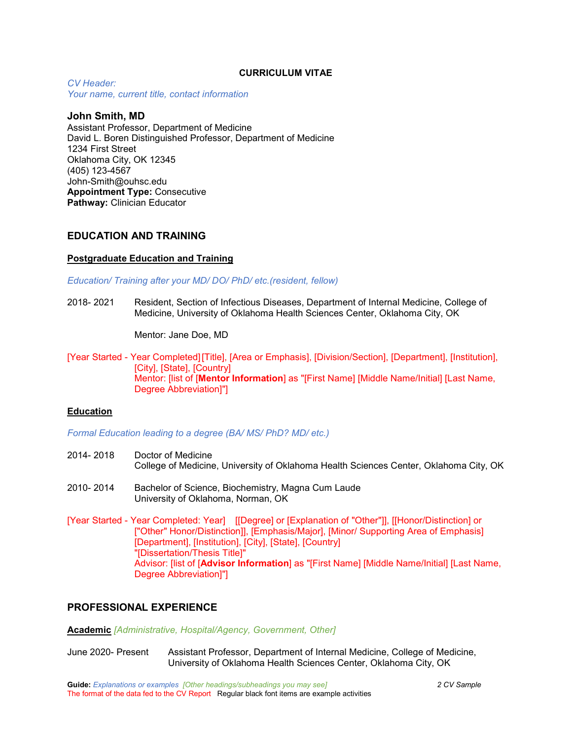### **CURRICULUM VITAE**

*CV Header: Your name, current title, contact information*

## **John Smith, MD**

Assistant Professor, Department of Medicine David L. Boren Distinguished Professor, Department of Medicine 1234 First Street Oklahoma City, OK 12345 (405) 123-4567 John-Smith@ouhsc.edu **Appointment Type:** Consecutive **Pathway:** Clinician Educator

# **EDUCATION AND TRAINING**

### **Postgraduate Education and Training**

*Education/ Training after your MD/ DO/ PhD/ etc.(resident, fellow)*

2018- 2021 Resident, Section of Infectious Diseases, Department of Internal Medicine, College of Medicine, University of Oklahoma Health Sciences Center, Oklahoma City, OK

Mentor: Jane Doe, MD

[Year Started - Year Completed][Title], [Area or Emphasis], [Division/Section], [Department], [Institution], [City], [State], [Country] Mentor: [list of [**Mentor Information**] as "[First Name] [Middle Name/Initial] [Last Name, Degree Abbreviation]"]

### **Education**

*Formal Education leading to a degree (BA/ MS/ PhD? MD/ etc.)*

- 2014- 2018 Doctor of Medicine College of Medicine, University of Oklahoma Health Sciences Center, Oklahoma City, OK
- 2010- 2014 Bachelor of Science, Biochemistry, Magna Cum Laude University of Oklahoma, Norman, OK
- [Year Started Year Completed: Year] [[Degree] or [Explanation of "Other"]], [[Honor/Distinction] or ["Other" Honor/Distinction]], [Emphasis/Major], [Minor/ Supporting Area of Emphasis] [Department], [Institution], [City], [State], [Country] "[Dissertation/Thesis Title]" Advisor: [list of [**Advisor Information**] as "[First Name] [Middle Name/Initial] [Last Name, Degree Abbreviation]"]

# **PROFESSIONAL EXPERIENCE**

**Academic** *[Administrative, Hospital/Agency, Government, Other]*

June 2020- Present Assistant Professor, Department of Internal Medicine, College of Medicine, University of Oklahoma Health Sciences Center, Oklahoma City, OK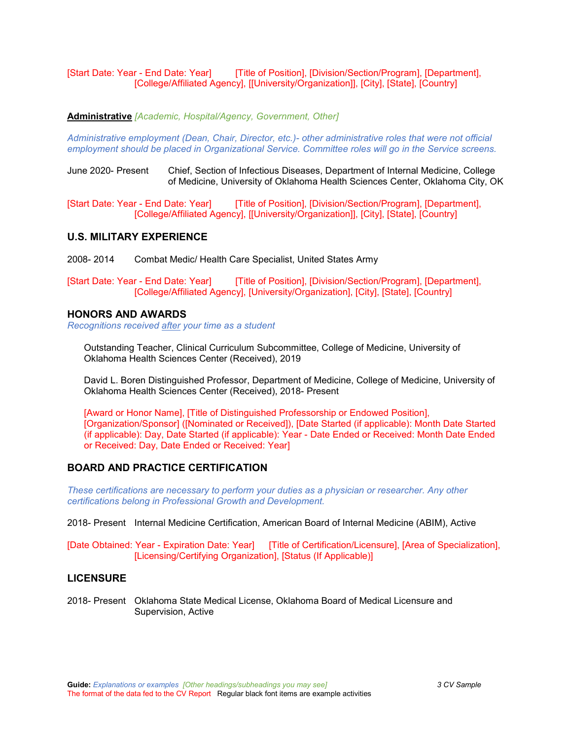[Start Date: Year - End Date: Year] [Title of Position], [Division/Section/Program], [Department], [College/Affiliated Agency], [[University/Organization]], [City], [State], [Country]

**Administrative** *[Academic, Hospital/Agency, Government, Other]*

*Administrative employment (Dean, Chair, Director, etc.)- other administrative roles that were not official employment should be placed in Organizational Service. Committee roles will go in the Service screens.*

June 2020- Present Chief, Section of Infectious Diseases, Department of Internal Medicine, College of Medicine, University of Oklahoma Health Sciences Center, Oklahoma City, OK

[Start Date: Year - End Date: Year] [Title of Position], [Division/Section/Program], [Department], [College/Affiliated Agency], [[University/Organization]], [City], [State], [Country]

# **U.S. MILITARY EXPERIENCE**

2008- 2014 Combat Medic/ Health Care Specialist, United States Army

[Start Date: Year - End Date: Year] [Title of Position], [Division/Section/Program], [Department], [College/Affiliated Agency], [University/Organization], [City], [State], [Country]

### **HONORS AND AWARDS**

*Recognitions received after your time as a student*

Outstanding Teacher, Clinical Curriculum Subcommittee, College of Medicine, University of Oklahoma Health Sciences Center (Received), 2019

David L. Boren Distinguished Professor, Department of Medicine, College of Medicine, University of Oklahoma Health Sciences Center (Received), 2018- Present

[Award or Honor Name], [Title of Distinguished Professorship or Endowed Position], [Organization/Sponsor] ([Nominated or Received]), [Date Started (if applicable): Month Date Started (if applicable): Day, Date Started (if applicable): Year - Date Ended or Received: Month Date Ended or Received: Day, Date Ended or Received: Year]

# **BOARD AND PRACTICE CERTIFICATION**

*These certifications are necessary to perform your duties as a physician or researcher. Any other certifications belong in Professional Growth and Development.*

2018- Present Internal Medicine Certification, American Board of Internal Medicine (ABIM), Active

[Date Obtained: Year - Expiration Date: Year] [Title of Certification/Licensure], [Area of Specialization], [Licensing/Certifying Organization], [Status (If Applicable)]

# **LICENSURE**

2018- Present Oklahoma State Medical License, Oklahoma Board of Medical Licensure and Supervision, Active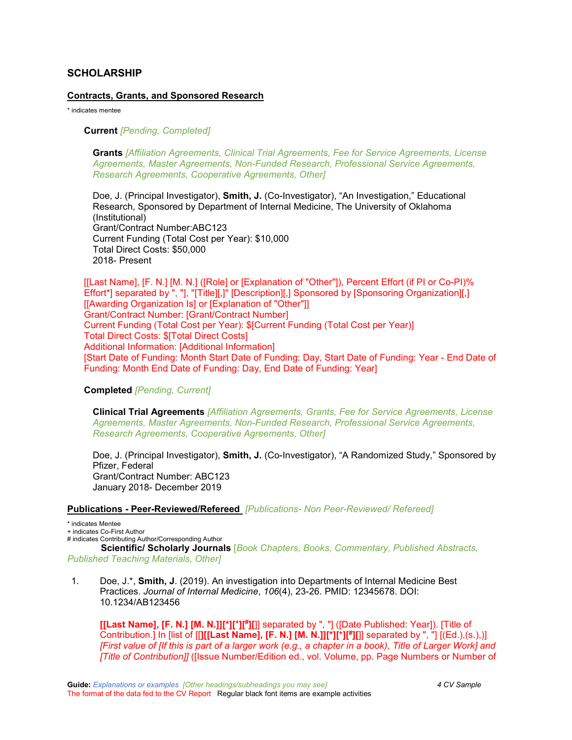# **SCHOLARSHIP**

### **Contracts, Grants, and Sponsored Research**

\* indicates mentee

### **Current** *[Pending, Completed]*

**Grants** *[Affiliation Agreements, Clinical Trial Agreements, Fee for Service Agreements, License Agreements, Master Agreements, Non-Funded Research, Professional Service Agreements, Research Agreements, Cooperative Agreements, Other]*

Doe, J. (Principal Investigator), **Smith, J.** (Co-Investigator), "An Investigation," Educational Research, Sponsored by Department of Internal Medicine, The University of Oklahoma (Institutional) Grant/Contract Number:ABC123 Current Funding (Total Cost per Year): \$10,000 Total Direct Costs: \$50,000 2018- Present

[[Last Name], [F. N.] [M. N.] ([Role] or [Explanation of "Other"]), Percent Effort (if PI or Co-PI)% Effort\*] separated by ", "], "[Title][,]" [Description][,] Sponsored by [Sponsoring Organization][,] [[Awarding Organization Is] or [Explanation of "Other"]] Grant/Contract Number: [Grant/Contract Number] Current Funding (Total Cost per Year): \$[Current Funding (Total Cost per Year)] Total Direct Costs: \$[Total Direct Costs] Additional Information: [Additional Information] [Start Date of Funding: Month Start Date of Funding: Day, Start Date of Funding: Year - End Date of Funding: Month End Date of Funding: Day, End Date of Funding: Year]

### **Completed** *[Pending, Current]*

**Clinical Trial Agreements** *[Affiliation Agreements, Grants, Fee for Service Agreements, License Agreements, Master Agreements, Non-Funded Research, Professional Service Agreements, Research Agreements, Cooperative Agreements, Other]*

Doe, J. (Principal Investigator), **Smith, J.** (Co-Investigator), "A Randomized Study," Sponsored by Pfizer, Federal Grant/Contract Number: ABC123 January 2018- December 2019

#### **Publications - Peer-Reviewed/Refereed** *[Publications- Non Peer-Reviewed/ Refereed]*

\* indicates Mentee

+ indicates Co-First Author

# indicates Contributing Author/Corresponding Author

**Scientific/ Scholarly Journals** [*Book Chapters, Books, Commentary, Published Abstracts, Published Teaching Materials, Other]*

1. Doe, J.\*, **Smith, J**. (2019). An investigation into Departments of Internal Medicine Best Practices. *Journal of Internal Medicine*, *106*(4), 23-26. PMID: 12345678. DOI: 10.1234/AB123456

**[[Last Name], [F. N.] [M. N.]][\*][+][#][**]] separated by ", "] ([Date Published: Year]). [Title of Contribution.] In [list of [[**][[Last Name], [F. N.] [M. N.]][\*][+][#][**]] separated by ", "] [(Ed.),(s.),)] *[First value of [If this is part of a larger work (e.g., a chapter in a book), Title of Larger Work] and [Title of Contribution]]* ([Issue Number/Edition ed., vol. Volume, pp. Page Numbers or Number of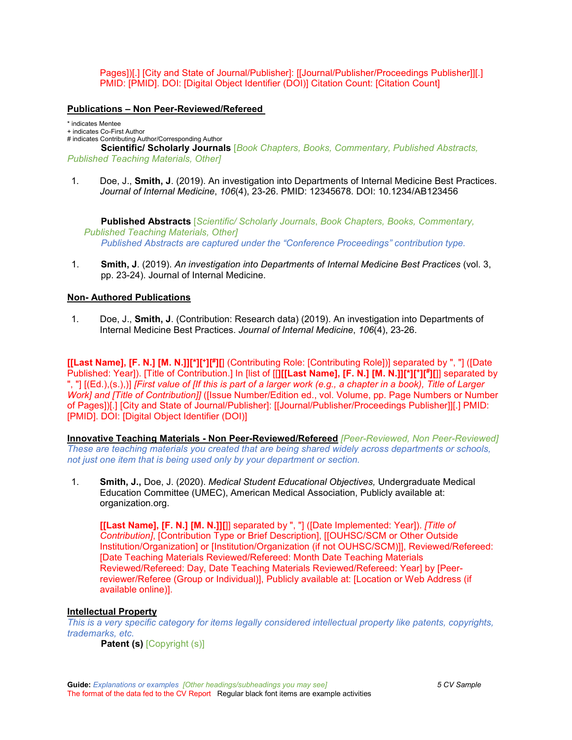Pages])[.] [City and State of Journal/Publisher]: [[Journal/Publisher/Proceedings Publisher]][.] PMID: [PMID]. DOI: [Digital Object Identifier (DOI)] Citation Count: [Citation Count]

## **Publications – Non Peer-Reviewed/Refereed**

\* indicates Mentee

+ indicates Co-First Author

# indicates Contributing Author/Corresponding Author

**Scientific/ Scholarly Journals** [*Book Chapters, Books, Commentary, Published Abstracts, Published Teaching Materials, Other]*

1. Doe, J., **Smith, J**. (2019). An investigation into Departments of Internal Medicine Best Practices. *Journal of Internal Medicine*, *106*(4), 23-26. PMID: 12345678. DOI: 10.1234/AB123456

**Published Abstracts** [*Scientific/ Scholarly Journals*, *Book Chapters, Books, Commentary, Published Teaching Materials, Other] Published Abstracts are captured under the "Conference Proceedings" contribution type.*

1. **Smith, J**. (2019). *An investigation into Departments of Internal Medicine Best Practices* (vol. 3, pp. 23-24). Journal of Internal Medicine.

# **Non- Authored Publications**

1. Doe, J., **Smith, J**. (Contribution: Research data) (2019). An investigation into Departments of Internal Medicine Best Practices. *Journal of Internal Medicine*, *106*(4), 23-26.

**[[Last Name], [F. N.] [M. N.]][\*][+][#][**] (Contributing Role: [Contributing Role])] separated by ", "] ([Date Published: Year]). [Title of Contribution.] In [list of [[**][[Last Name], [F. N.] [M. N.]][\*][+][#][**]] separated by ", "] [(Ed.),(s.),)] *[First value of [If this is part of a larger work (e.g., a chapter in a book), Title of Larger Work] and [Title of Contribution]]* ([Issue Number/Edition ed., vol. Volume, pp. Page Numbers or Number of Pages])[.] [City and State of Journal/Publisher]: [[Journal/Publisher/Proceedings Publisher]][.] PMID: [PMID]. DOI: [Digital Object Identifier (DOI)]

**Innovative Teaching Materials - Non Peer-Reviewed/Refereed** *[Peer-Reviewed, Non Peer-Reviewed] These are teaching materials you created that are being shared widely across departments or schools, not just one item that is being used only by your department or section.*

1. **Smith, J.,** Doe, J. (2020). *Medical Student Educational Objectives,* Undergraduate Medical Education Committee (UMEC), American Medical Association, Publicly available at: organization.org.

**[[Last Name], [F. N.] [M. N.]][**]] separated by ", "] ([Date Implemented: Year]). *[Title of Contribution]*, [Contribution Type or Brief Description], [[OUHSC/SCM or Other Outside Institution/Organization] or [Institution/Organization (if not OUHSC/SCM)]], Reviewed/Refereed: [Date Teaching Materials Reviewed/Refereed: Month Date Teaching Materials Reviewed/Refereed: Day, Date Teaching Materials Reviewed/Refereed: Year] by [Peerreviewer/Referee (Group or Individual)], Publicly available at: [Location or Web Address (if available online)].

### **Intellectual Property**

*This is a very specific category for items legally considered intellectual property like patents, copyrights, trademarks, etc.*

**Patent (s)** [Copyright (s)]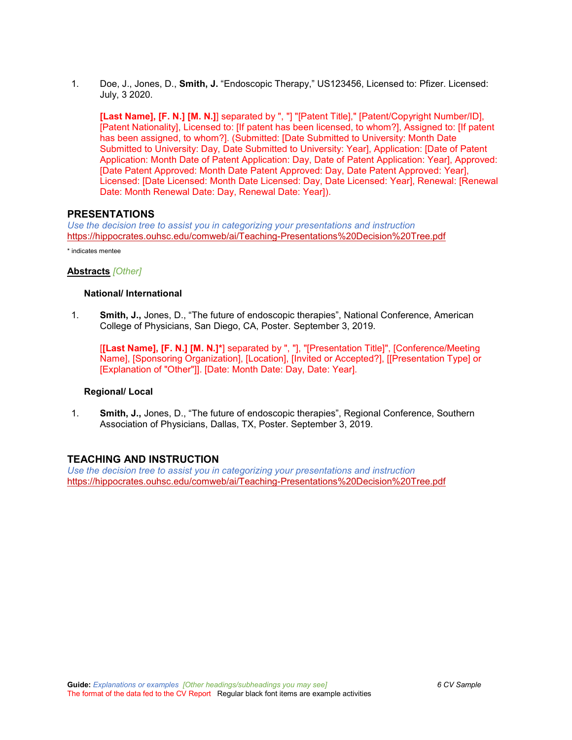1. Doe, J., Jones, D., **Smith, J.** "Endoscopic Therapy," US123456, Licensed to: Pfizer. Licensed: July, 3 2020.

**[Last Name], [F. N.] [M. N.]**] separated by ", "] "[Patent Title]," [Patent/Copyright Number/ID], [Patent Nationality], Licensed to: [If patent has been licensed, to whom?], Assigned to: [If patent has been assigned, to whom?]. (Submitted: [Date Submitted to University: Month Date Submitted to University: Day, Date Submitted to University: Year], Application: [Date of Patent Application: Month Date of Patent Application: Day, Date of Patent Application: Year], Approved: [Date Patent Approved: Month Date Patent Approved: Day, Date Patent Approved: Year], Licensed: [Date Licensed: Month Date Licensed: Day, Date Licensed: Year], Renewal: [Renewal Date: Month Renewal Date: Day, Renewal Date: Year]).

### **PRESENTATIONS**

*Use the decision tree to assist you in categorizing your presentations and instruction* <https://hippocrates.ouhsc.edu/comweb/ai/Teaching-Presentations%20Decision%20Tree.pdf>

\* indicates mentee

### **Abstracts** *[Other]*

### **National/ International**

1. **Smith, J.,** Jones, D., "The future of endoscopic therapies", National Conference, American College of Physicians, San Diego, CA, Poster. September 3, 2019.

[**[Last Name], [F. N.] [M. N.]\***] separated by ", "], "[Presentation Title]", [Conference/Meeting Name], [Sponsoring Organization], [Location], [Invited or Accepted?], [[Presentation Type] or [Explanation of "Other"]]. [Date: Month Date: Day, Date: Year].

#### **Regional/ Local**

1. **Smith, J.,** Jones, D., "The future of endoscopic therapies", Regional Conference, Southern Association of Physicians, Dallas, TX, Poster. September 3, 2019.

### **TEACHING AND INSTRUCTION**

*Use the decision tree to assist you in categorizing your presentations and instruction* <https://hippocrates.ouhsc.edu/comweb/ai/Teaching-Presentations%20Decision%20Tree.pdf>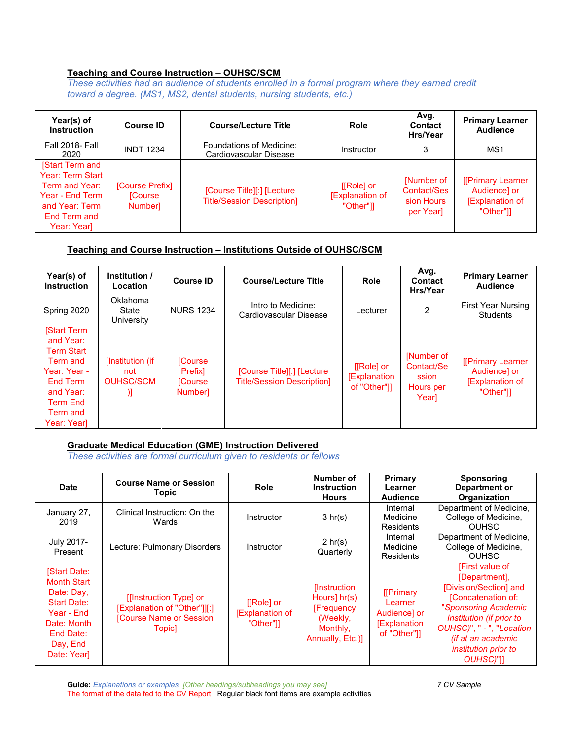# **Teaching and Course Instruction – OUHSC/SCM**

*These activities had an audience of students enrolled in a formal program where they earned credit toward a degree. (MS1, MS2, dental students, nursing students, etc.)*

| Year(s) of<br><b>Instruction</b>                                                                                          | <b>Course ID</b>                                  | <b>Course/Lecture Title</b>                                     | <b>Role</b>                                  | Avg.<br><b>Contact</b><br>Hrs/Year                   | <b>Primary Learner</b><br><b>Audience</b>                                |
|---------------------------------------------------------------------------------------------------------------------------|---------------------------------------------------|-----------------------------------------------------------------|----------------------------------------------|------------------------------------------------------|--------------------------------------------------------------------------|
| <b>Fall 2018- Fall</b><br>2020                                                                                            | <b>INDT 1234</b>                                  | Foundations of Medicine:<br>Cardiovascular Disease              | <b>Instructor</b>                            | 3                                                    | MS1                                                                      |
| [Start Term and<br>Year: Term Start<br>Term and Year:<br>Year - End Term<br>and Year: Term<br>End Term and<br>Year: Year] | [Course Prefix]<br><b>Course</b><br><b>Number</b> | [Course Title][:] [Lecture<br><b>Title/Session Description]</b> | $[IRole]$ or<br>[Explanation of<br>"Other"]] | [Number of<br>Contact/Ses<br>sion Hours<br>per Yearl | [[Primary Learner<br>Audience] or<br><b>[Explanation of</b><br>"Other"]] |

# **Teaching and Course Instruction – Institutions Outside of OUHSC/SCM**

| Year(s) of<br><b>Instruction</b>                                                                                                                       | Institution /<br>Location                        | <b>Course ID</b>                                                 | <b>Course/Lecture Title</b>                                      | Role                                              | Avg.<br>Contact<br>Hrs/Year                             | <b>Primary Learner</b><br><b>Audience</b>                               |
|--------------------------------------------------------------------------------------------------------------------------------------------------------|--------------------------------------------------|------------------------------------------------------------------|------------------------------------------------------------------|---------------------------------------------------|---------------------------------------------------------|-------------------------------------------------------------------------|
| Spring 2020                                                                                                                                            | Oklahoma<br>State<br>University                  | <b>NURS 1234</b>                                                 | Intro to Medicine:<br>Cardiovascular Disease                     | Lecturer                                          | $\overline{2}$                                          | <b>First Year Nursing</b><br><b>Students</b>                            |
| <b>Start Term</b><br>and Year:<br><b>Term Start</b><br>Term and<br>Year: Year -<br>End Term<br>and Year:<br><b>Term End</b><br>Term and<br>Year: Year] | [Institution (if<br>not<br><b>OUHSC/SCM</b><br>Л | <b>Course</b><br>Prefixl<br><b>Course</b><br>Number <sub>1</sub> | [Course Title][:] [Lecture]<br><b>Title/Session Description]</b> | [[Role] or<br><b>[Explanation</b><br>of "Other"]] | [Number of<br>Contact/Se<br>ssion<br>Hours per<br>Yearl | [[Primary Learner<br>Audience] or<br><b>Explanation of</b><br>"Other"]] |

# **Graduate Medical Education (GME) Instruction Delivered**

*These activities are formal curriculum given to residents or fellows*

| Date                                                                                                                                       | <b>Course Name or Session</b><br><b>Topic</b>                                                      | <b>Role</b>                                        | Number of<br><b>Instruction</b><br><b>Hours</b>                                                | Primary<br>Learner<br><b>Audience</b>                                      | <b>Sponsoring</b><br>Department or<br>Organization                                                                                                                                                                                  |
|--------------------------------------------------------------------------------------------------------------------------------------------|----------------------------------------------------------------------------------------------------|----------------------------------------------------|------------------------------------------------------------------------------------------------|----------------------------------------------------------------------------|-------------------------------------------------------------------------------------------------------------------------------------------------------------------------------------------------------------------------------------|
| January 27,<br>2019                                                                                                                        | Clinical Instruction: On the<br>Wards                                                              | Instructor                                         | 3 hr(s)                                                                                        | Internal<br>Medicine<br><b>Residents</b>                                   | Department of Medicine,<br>College of Medicine,<br><b>OUHSC</b>                                                                                                                                                                     |
| July 2017-<br>Present                                                                                                                      | Lecture: Pulmonary Disorders                                                                       | Instructor                                         | $2 \text{ hr}(s)$<br>Quarterly                                                                 | Internal<br>Medicine<br><b>Residents</b>                                   | Department of Medicine,<br>College of Medicine,<br><b>OUHSC</b>                                                                                                                                                                     |
| <b>Start Date:</b><br><b>Month Start</b><br>Date: Day,<br>Start Date:<br>Year - End<br>Date: Month<br>End Date:<br>Day, End<br>Date: Year] | [[Instruction Type] or<br>[Explanation of "Other"]][:]<br>[Course Name or Session]<br><b>Topic</b> | $[[Role]$ or<br><b>Explanation of</b><br>"Other"]] | <b>Instruction</b><br>Hours] $hr(s)$<br>[Frequency<br>(Weekly,<br>Monthly,<br>Annually, Etc.)] | [[Primary<br>Learner<br>Audience] or<br><b>Explanation</b><br>of "Other"]] | [First value of<br>[Department],<br>[Division/Section] and<br>[Concatenation of:<br>"Sponsoring Academic<br>Institution (if prior to<br>OUHSC)", " - ", "Location<br>(if at an academic<br><i>institution prior to</i><br>OUHSC)"]] |

**Guide:** *Explanations or examples [Other headings/subheadings you may see] 7 CV Sample* The format of the data fed to the CV Report Regular black font items are example activities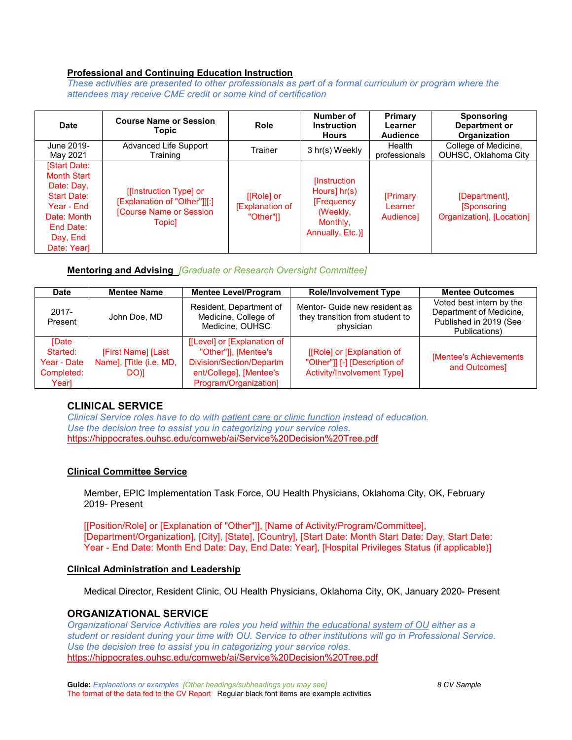# **Professional and Continuing Education Instruction**

*These activities are presented to other professionals as part of a formal curriculum or program where the attendees may receive CME credit or some kind of certification*

| <b>Date</b>                                                                                                                                 | <b>Course Name or Session</b><br><b>Topic</b>                                                     | Role                                               | Number of<br><b>Instruction</b><br><b>Hours</b>                                                  | Primary<br>Learner<br><b>Audience</b>   | <b>Sponsoring</b><br>Department or<br>Organization              |
|---------------------------------------------------------------------------------------------------------------------------------------------|---------------------------------------------------------------------------------------------------|----------------------------------------------------|--------------------------------------------------------------------------------------------------|-----------------------------------------|-----------------------------------------------------------------|
| June 2019-<br>May 2021                                                                                                                      | Advanced Life Support<br>Training                                                                 | Trainer                                            | 3 hr(s) Weekly                                                                                   | Health<br>professionals                 | College of Medicine.<br>OUHSC, Oklahoma City                    |
| [Start Date:<br><b>Month Start</b><br>Date: Day,<br><b>Start Date:</b><br>Year - Fnd<br>Date: Month<br>End Date:<br>Day, End<br>Date: Yearl | [[Instruction Type] or<br>[Explanation of "Other"]][:]<br>[Course Name or Session<br><b>Topic</b> | $[ Role]$ or<br><b>Explanation of</b><br>"Other"]] | [Instruction]<br>Hours] $hr(s)$<br><b>[Frequency</b><br>(Weekly,<br>Monthly,<br>Annually, Etc.)] | <b>[Primary</b><br>Learner<br>Audiencel | [Department],<br><b>Sponsoring</b><br>Organization], [Location] |

# **Mentoring and Advising** *[Graduate or Research Oversight Committee]*

| Date                | <b>Mentee Name</b>      | <b>Mentee Level/Program</b>                                        | <b>Role/Involvement Type</b>                                                  | <b>Mentee Outcomes</b>                                                                         |
|---------------------|-------------------------|--------------------------------------------------------------------|-------------------------------------------------------------------------------|------------------------------------------------------------------------------------------------|
| $2017 -$<br>Present | John Doe, MD            | Resident, Department of<br>Medicine, College of<br>Medicine, OUHSC | Mentor- Guide new resident as<br>they transition from student to<br>physician | Voted best intern by the<br>Department of Medicine,<br>Published in 2019 (See<br>Publications) |
| <b>Date</b>         |                         | [[Level] or [Explanation of                                        |                                                                               |                                                                                                |
| Started:            | [First Name] [Last      | "Other"]], [Mentee's                                               | [[Role] or [Explanation of                                                    | [Mentee's Achievements                                                                         |
| Year - Date         | Name], [Title (i.e. MD, | Division/Section/Departm                                           | "Other"]] [-] [Description of                                                 | and Outcomes]                                                                                  |
| Completed:          | DO)]                    | ent/College], [Mentee's                                            | <b>Activity/Involvement Type]</b>                                             |                                                                                                |
| Year]               |                         | Program/Organization]                                              |                                                                               |                                                                                                |

# **CLINICAL SERVICE**

*Clinical Service roles have to do with patient care or clinic function instead of education. Use the decision tree to assist you in categorizing your service roles.*  <https://hippocrates.ouhsc.edu/comweb/ai/Service%20Decision%20Tree.pdf>

### **Clinical Committee Service**

Member, EPIC Implementation Task Force, OU Health Physicians, Oklahoma City, OK, February 2019- Present

[[Position/Role] or [Explanation of "Other"]], [Name of Activity/Program/Committee], [Department/Organization], [City], [State], [Country], [Start Date: Month Start Date: Day, Start Date: Year - End Date: Month End Date: Day, End Date: Year], [Hospital Privileges Status (if applicable)]

### **Clinical Administration and Leadership**

Medical Director, Resident Clinic, OU Health Physicians, Oklahoma City, OK, January 2020- Present

### **ORGANIZATIONAL SERVICE**

*Organizational Service Activities are roles you held within the educational system of OU either as a student or resident during your time with OU. Service to other institutions will go in Professional Service. Use the decision tree to assist you in categorizing your service roles.*  <https://hippocrates.ouhsc.edu/comweb/ai/Service%20Decision%20Tree.pdf>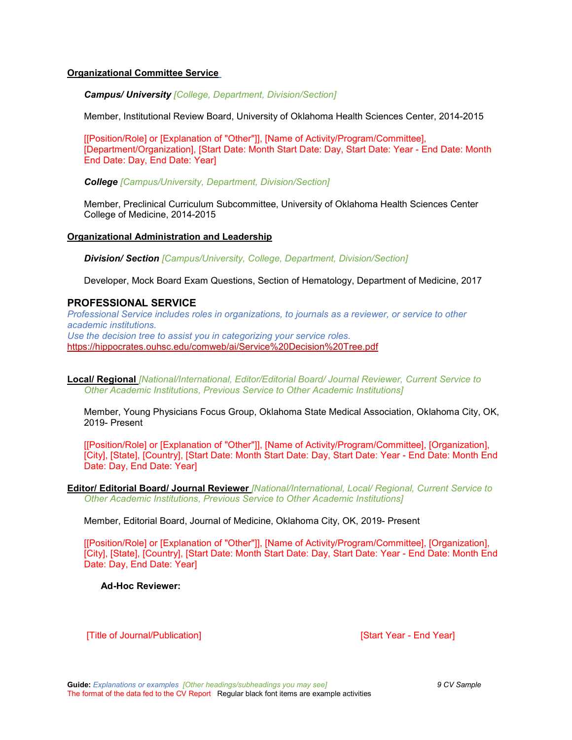## **Organizational Committee Service**

*Campus/ University [College, Department, Division/Section]*

Member, Institutional Review Board, University of Oklahoma Health Sciences Center, 2014-2015

[[Position/Role] or [Explanation of "Other"]], [Name of Activity/Program/Committee], [Department/Organization], [Start Date: Month Start Date: Day, Start Date: Year - End Date: Month End Date: Day, End Date: Year]

*College [Campus/University, Department, Division/Section]*

Member, Preclinical Curriculum Subcommittee, University of Oklahoma Health Sciences Center College of Medicine, 2014-2015

### **Organizational Administration and Leadership**

*Division/ Section [Campus/University, College, Department, Division/Section]*

Developer, Mock Board Exam Questions, Section of Hematology, Department of Medicine, 2017

## **PROFESSIONAL SERVICE**

*Professional Service includes roles in organizations, to journals as a reviewer, or service to other academic institutions. Use the decision tree to assist you in categorizing your service roles.*  <https://hippocrates.ouhsc.edu/comweb/ai/Service%20Decision%20Tree.pdf>

**Local/ Regional** *[National/International, Editor/Editorial Board/ Journal Reviewer, Current Service to Other Academic Institutions, Previous Service to Other Academic Institutions]*

Member, Young Physicians Focus Group, Oklahoma State Medical Association, Oklahoma City, OK, 2019- Present

[[Position/Role] or [Explanation of "Other"]], [Name of Activity/Program/Committee], [Organization], [City], [State], [Country], [Start Date: Month Start Date: Day, Start Date: Year - End Date: Month End Date: Day, End Date: Year]

**Editor/ Editorial Board/ Journal Reviewer** *[National/International, Local/ Regional, Current Service to Other Academic Institutions, Previous Service to Other Academic Institutions]*

Member, Editorial Board, Journal of Medicine, Oklahoma City, OK, 2019- Present

[[Position/Role] or [Explanation of "Other"]], [Name of Activity/Program/Committee], [Organization], [City], [State], [Country], [Start Date: Month Start Date: Day, Start Date: Year - End Date: Month End Date: Day, End Date: Year]

**Ad-Hoc Reviewer:**

[Title of Journal/Publication] [Start Year - End Year]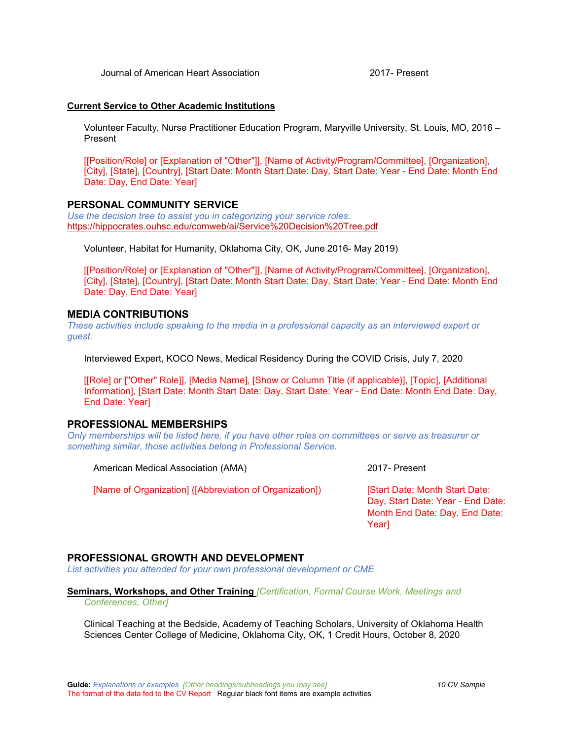Journal of American Heart Association 2017- Present

#### **Current Service to Other Academic Institutions**

Volunteer Faculty, Nurse Practitioner Education Program, Maryville University, St. Louis, MO, 2016 – Present

[[Position/Role] or [Explanation of "Other"]], [Name of Activity/Program/Committee], [Organization], [City], [State], [Country], [Start Date: Month Start Date: Day, Start Date: Year - End Date: Month End Date: Day, End Date: Year]

## **PERSONAL COMMUNITY SERVICE**

*Use the decision tree to assist you in categorizing your service roles.*  <https://hippocrates.ouhsc.edu/comweb/ai/Service%20Decision%20Tree.pdf>

Volunteer, Habitat for Humanity, Oklahoma City, OK, June 2016- May 2019)

[[Position/Role] or [Explanation of "Other"]], [Name of Activity/Program/Committee], [Organization], [City], [State], [Country], [Start Date: Month Start Date: Day, Start Date: Year - End Date: Month End Date: Day, End Date: Year]

### **MEDIA CONTRIBUTIONS**

*These activities include speaking to the media in a professional capacity as an interviewed expert or guest.* 

Interviewed Expert, KOCO News, Medical Residency During the COVID Crisis, July 7, 2020

[[Role] or ["Other" Role]], [Media Name], [Show or Column Title (if applicable)], [Topic], [Additional Information], [Start Date: Month Start Date: Day, Start Date: Year - End Date: Month End Date: Day, End Date: Year]

### **PROFESSIONAL MEMBERSHIPS**

*Only memberships will be listed here, if you have other roles on committees or serve as treasurer or something similar, those activities belong in Professional Service.*

American Medical Association (AMA) 2017- Present

[Name of Organization] ([Abbreviation of Organization]) [Start Date: Month Start Date:

Day, Start Date: Year - End Date: Month End Date: Day, End Date: Year]

### **PROFESSIONAL GROWTH AND DEVELOPMENT**

*List activities you attended for your own professional development or CME*

**Seminars, Workshops, and Other Training** *[Certification, Formal Course Work, Meetings and Conferences, Other]*

Clinical Teaching at the Bedside, Academy of Teaching Scholars, University of Oklahoma Health Sciences Center College of Medicine, Oklahoma City, OK, 1 Credit Hours, October 8, 2020